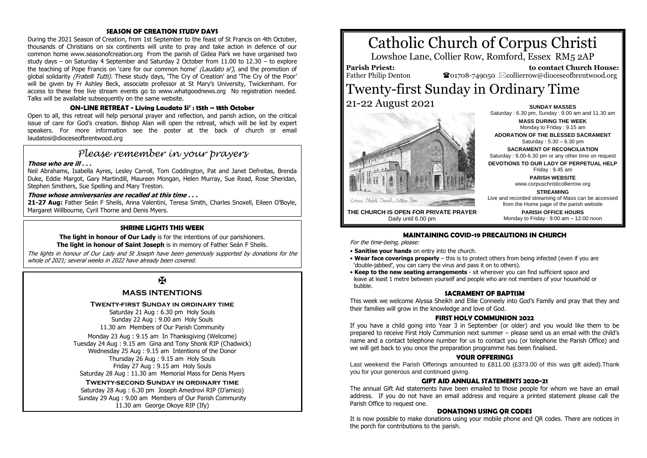#### **SEASON OF CREATION STUDY DAYS**

During the 2021 Season of Creation, from 1st September to the feast of St Francis on 4th October, thousands of Christians on six continents will unite to pray and take action in defence of our common home www.seasonofcreation.org From the parish of Gidea Park we have organised two study days – on Saturday 4 September and Saturday 2 October from 11.00 to 12.30 – to explore the teaching of Pope Francis on 'care for our common home' (Laudato si'), and the promotion of global solidarity (Fratelli Tutti). These study days, 'The Cry of Creation' and 'The Cry of the Poor' will be given by Fr Ashley Beck, associate professor at St Mary's University, Twickenham. For access to these free live stream events go to www.whatgoodnews.org No registration needed. Talks will be available subsequently on the same website.

#### **ON-LINE RETREAT - Living Laudato Si' : 15th – 18th October**

Open to all, this retreat will help personal prayer and reflection, and parish action, on the critical issue of care for God's creation. Bishop Alan will open the retreat, which will be led by expert speakers. For more information see the poster at the back of church or email laudatosi@dioceseofbrentwood.org

## *Please remember in your prayers*

#### **Those who are ill . . .**

Neil Abrahams, Isabella Ayres, Lesley Carroll, Tom Coddington, Pat and Janet Defreitas, Brenda Duke, Eddie Margot, Gary Martindill, Maureen Mongan, Helen Murray, Sue Read, Rose Sheridan, Stephen Smithers, Sue Spelling and Mary Treston.

#### **Those whose anniversaries are recalled at this time . . .**

**21-27 Aug:** Father Seán F Sheils, Anna Valentini, Teresa Smith, Charles Snoxell, Eileen O'Boyle, Margaret Willbourne, Cyril Thorne and Denis Myers.

#### **SHRINE LIGHTS THIS WEEK**

**The light in honour of Our Lady** is for the intentions of our parishioners. **The light in honour of Saint Joseph** is in memory of Father Seán F Sheils.

The lights in honour of Our Lady and St Joseph have been generously supported by donations for the whole of 2021; several weeks in 2022 have already been covered.

## $\overline{\mathbf{R}}$

#### **MASS INTENTIONS**

#### **Twenty-first Sunday in ordinary time**

Saturday 21 Aug : 6.30 pm Holy Souls Sunday 22 Aug : 9.00 am Holy Souls 11.30 am Members of Our Parish Community

Monday 23 Aug : 9.15 am In Thanksgiving (Welcome) Tuesday 24 Aug : 9.15 am Gina and Tony Shonk RIP (Chadwick) Wednesday 25 Aug : 9.15 am Intentions of the Donor Thursday 26 Aug : 9.15 am Holy Souls Friday 27 Aug : 9.15 am Holy Souls Saturday 28 Aug : 11.30 am Memorial Mass for Denis Myers

#### **Twenty-second Sunday in ordinary time**

Saturday 28 Aug : 6.30 pm Joseph Amedrovi RIP (D'amico) Sunday 29 Aug : 9.00 am Members of Our Parish Community 11.30 am George Okoye RIP (Ify)

# Catholic Church of Corpus Christi

Lowshoe Lane, Collier Row, Romford, Essex RM5 2AP

**Parish Priest:** Father Philip Denton

 **to contact Church House:**  $\bullet$ 01708-749050  $\boxtimes$ collierrow@dioceseofbrentwood.org

### Twenty-first Sunday in Ordinary Time 21-22 August 2021 **SUNDAY MASSES**



Monday to Friday : 9.15 am **ADORATION OF THE BLESSED SACRAMENT** Saturday : 5.30 – 6.30 pm **SACRAMENT OF RECONCILIATION** Saturday : 6.00-6.30 pm or any other time on request **DEVOTIONS TO OUR LADY OF PERPETUAL HELP** Friday : 9.45 am **PARISH WEBSITE** www.corpuschristicollierrow.org **STREAMING** Live and recorded streaming of Mass can be accessed from the Home page of the parish website

> **PARISH OFFICE HOURS** Monday to Friday : 9.00 am – 12.00 noon

Saturday : 6.30 pm, Sunday : 9.00 am and 11.30 am **MASS DURING THE WEEK**

**THE CHURCH IS OPEN FOR PRIVATE PRAYER** Daily until 6.00 pm

#### **MAINTAINING COVID-19 PRECAUTIONS IN CHURCH**

For the time-being, please:

- **Sanitise your hands** on entry into the church.
- **Wear face coverings properly** this is to protect others from being infected (even if you are 'double-jabbed', you can carry the virus and pass it on to others).
- **Keep to the new seating arrangements** sit wherever you can find sufficient space and leave at least 1 metre between yourself and people who are not members of your household or bubble.

#### **SACRAMENT OF BAPTISM**

This week we welcome Alyssa Sheikh and Ellie Conneely into God's Family and pray that they and their families will grow in the knowledge and love of God.

#### **FIRST HOLY COMMUNION 2022**

If you have a child going into Year 3 in September (or older) and you would like them to be prepared to receive First Holy Communion next summer – please send us an email with the child's name and a contact telephone number for us to contact you (or telephone the Parish Office) and we will get back to you once the preparation programme has been finalised.

#### **YOUR OFFERINGS**

Last weekend the Parish Offerings amounted to £811.00 (£373.00 of this was gift aided).Thank you for your generous and continued giving.

#### **GIFT AID ANNUAL STATEMENTS 2020-21**

The annual Gift Aid statements have been emailed to those people for whom we have an email address. If you do not have an email address and require a printed statement please call the Parish Office to request one.

#### **DONATIONS USING QR CODES**

It is now possible to make donations using your mobile phone and QR codes. There are notices in the porch for contributions to the parish.